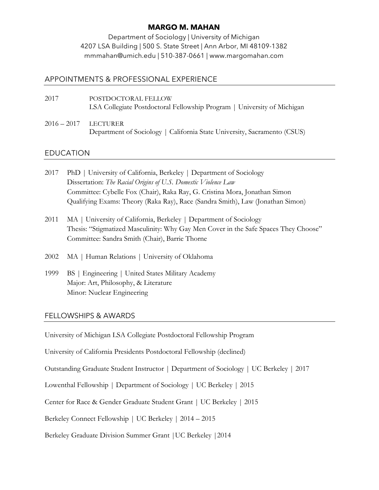# **MARGO M. MAHAN**

Department of Sociology | University of Michigan 4207 LSA Building | 500 S. State Street | Ann Arbor, MI 48109-1382 mmmahan@umich.edu | 510-387-0661 | www.margomahan.com

## APPOINTMENTS & PROFESSIONAL EXPERIENCE

- 2017 POSTDOCTORAL FELLOW LSA Collegiate Postdoctoral Fellowship Program | University of Michigan
- 2016 2017 LECTURER Department of Sociology | California State University, Sacramento (CSUS)

# EDUCATION

- 2017 PhD | University of California, Berkeley | Department of Sociology Dissertation: *The Racial Origins of U.S. Domestic Violence Law*  Committee: Cybelle Fox (Chair), Raka Ray, G. Cristina Mora, Jonathan Simon Qualifying Exams: Theory (Raka Ray), Race (Sandra Smith), Law (Jonathan Simon)
- 2011 MA | University of California, Berkeley | Department of Sociology Thesis: "Stigmatized Masculinity: Why Gay Men Cover in the Safe Spaces They Choose" Committee: Sandra Smith (Chair), Barrie Thorne
- 2002 MA | Human Relations | University of Oklahoma
- 1999 BS | Engineering | United States Military Academy Major: Art, Philosophy, & Literature Minor: Nuclear Engineering

## FELLOWSHIPS & AWARDS

University of Michigan LSA Collegiate Postdoctoral Fellowship Program

University of California Presidents Postdoctoral Fellowship (declined)

Outstanding Graduate Student Instructor | Department of Sociology | UC Berkeley | 2017

Lowenthal Fellowship | Department of Sociology | UC Berkeley | 2015

Center for Race & Gender Graduate Student Grant | UC Berkeley | 2015

Berkeley Connect Fellowship | UC Berkeley | 2014 – 2015

Berkeley Graduate Division Summer Grant |UC Berkeley |2014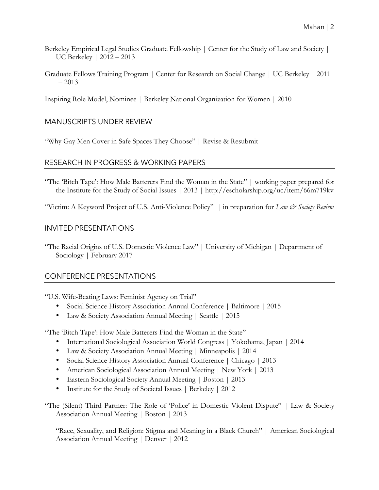- Berkeley Empirical Legal Studies Graduate Fellowship | Center for the Study of Law and Society | UC Berkeley | 2012 – 2013
- Graduate Fellows Training Program | Center for Research on Social Change | UC Berkeley | 2011 – 2013

Inspiring Role Model, Nominee | Berkeley National Organization for Women | 2010

## MANUSCRIPTS UNDER REVIEW

"Why Gay Men Cover in Safe Spaces They Choose" | Revise & Resubmit

### RESEARCH IN PROGRESS & WORKING PAPERS

- "The 'Bitch Tape': How Male Batterers Find the Woman in the State" | working paper prepared for the Institute for the Study of Social Issues | 2013 | http://escholarship.org/uc/item/66m719kv
- "Victim: A Keyword Project of U.S. Anti-Violence Policy" | in preparation for *Law & Society Review*

### INVITED PRESENTATIONS

"The Racial Origins of U.S. Domestic Violence Law" | University of Michigan | Department of Sociology | February 2017

## CONFERENCE PRESENTATIONS

"U.S. Wife-Beating Laws: Feminist Agency on Trial"

- Social Science History Association Annual Conference | Baltimore | 2015
- Law & Society Association Annual Meeting | Seattle | 2015

"The 'Bitch Tape': How Male Batterers Find the Woman in the State"

- International Sociological Association World Congress | Yokohama, Japan | 2014
- Law & Society Association Annual Meeting | Minneapolis | 2014
- Social Science History Association Annual Conference | Chicago | 2013
- American Sociological Association Annual Meeting | New York | 2013
- Eastern Sociological Society Annual Meeting | Boston | 2013
- Institute for the Study of Societal Issues | Berkeley | 2012

"The (Silent) Third Partner: The Role of 'Police' in Domestic Violent Dispute" | Law & Society Association Annual Meeting | Boston | 2013

"Race, Sexuality, and Religion: Stigma and Meaning in a Black Church" | American Sociological Association Annual Meeting | Denver | 2012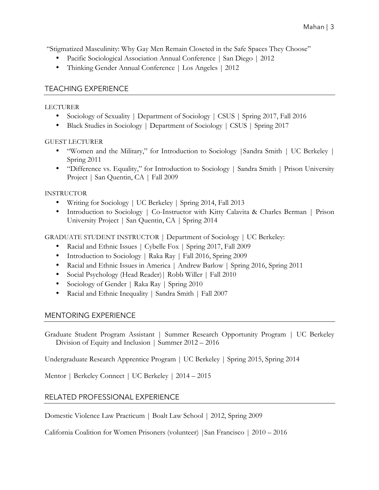"Stigmatized Masculinity: Why Gay Men Remain Closeted in the Safe Spaces They Choose"

- Pacific Sociological Association Annual Conference | San Diego | 2012
- Thinking Gender Annual Conference | Los Angeles | 2012

## TEACHING EXPERIENCE

#### LECTURER

- Sociology of Sexuality | Department of Sociology | CSUS | Spring 2017, Fall 2016
- Black Studies in Sociology | Department of Sociology | CSUS | Spring 2017

#### GUEST LECTURER

- "Women and the Military," for Introduction to Sociology |Sandra Smith | UC Berkeley | Spring 2011
- "Difference vs. Equality," for Introduction to Sociology | Sandra Smith | Prison University Project | San Quentin, CA | Fall 2009

### INSTRUCTOR

- Writing for Sociology | UC Berkeley | Spring 2014, Fall 2013
- Introduction to Sociology | Co-Instructor with Kitty Calavita & Charles Berman | Prison University Project | San Quentin, CA | Spring 2014

GRADUATE STUDENT INSTRUCTOR | Department of Sociology | UC Berkeley:

- Racial and Ethnic Issues | Cybelle Fox | Spring 2017, Fall 2009
- Introduction to Sociology | Raka Ray | Fall 2016, Spring 2009
- Racial and Ethnic Issues in America | Andrew Barlow | Spring 2016, Spring 2011
- Social Psychology (Head Reader) | Robb Willer | Fall 2010
- Sociology of Gender | Raka Ray | Spring 2010
- Racial and Ethnic Inequality | Sandra Smith | Fall 2007

# MENTORING EXPERIENCE

Graduate Student Program Assistant | Summer Research Opportunity Program | UC Berkeley Division of Equity and Inclusion | Summer 2012 – 2016

Undergraduate Research Apprentice Program | UC Berkeley | Spring 2015, Spring 2014

Mentor | Berkeley Connect | UC Berkeley | 2014 – 2015

# RELATED PROFESSIONAL EXPERIENCE

Domestic Violence Law Practicum | Boalt Law School | 2012, Spring 2009

California Coalition for Women Prisoners (volunteer) |San Francisco | 2010 – 2016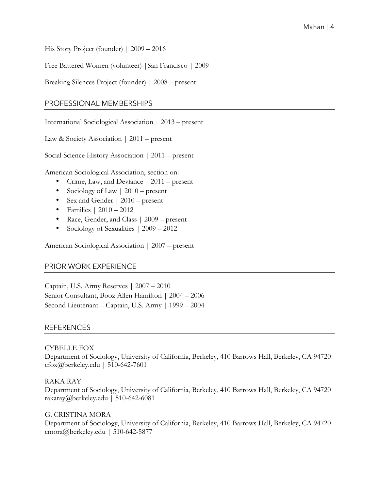His Story Project (founder) | 2009 – 2016

Free Battered Women (volunteer) |San Francisco | 2009

Breaking Silences Project (founder) | 2008 – present

### PROFESSIONAL MEMBERSHIPS

International Sociological Association | 2013 – present

Law & Society Association | 2011 – present

Social Science History Association | 2011 – present

American Sociological Association, section on:

- Crime, Law, and Deviance | 2011 present
- Sociology of Law | 2010 present
- Sex and Gender | 2010 present
- Families | 2010 2012
- Race, Gender, and Class | 2009 present
- Sociology of Sexualities | 2009 2012

American Sociological Association | 2007 – present

## PRIOR WORK EXPERIENCE

Captain, U.S. Army Reserves | 2007 – 2010 Senior Consultant, Booz Allen Hamilton | 2004 – 2006 Second Lieutenant – Captain, U.S. Army | 1999 – 2004

#### REFERENCES

#### CYBELLE FOX

Department of Sociology, University of California, Berkeley, 410 Barrows Hall, Berkeley, CA 94720 cfox@berkeley.edu | 510-642-7601

RAKA RAY Department of Sociology, University of California, Berkeley, 410 Barrows Hall, Berkeley, CA 94720 rakaray@berkeley.edu | 510-642-6081

G. CRISTINA MORA Department of Sociology, University of California, Berkeley, 410 Barrows Hall, Berkeley, CA 94720 cmora@berkeley.edu | 510-642-5877